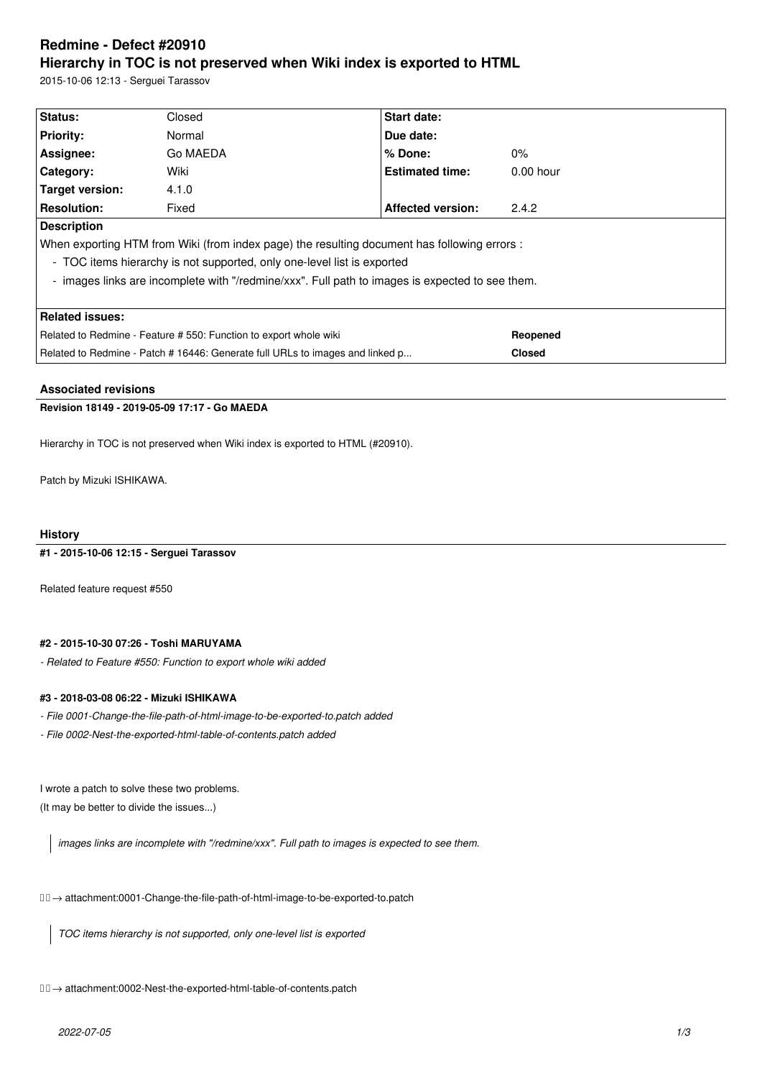# **Redmine - Defect #20910 Hierarchy in TOC is not preserved when Wiki index is exported to HTML**

2015-10-06 12:13 - Serguei Tarassov

| Status:                                                                                         | Closed   | <b>Start date:</b>       |               |  |  |  |
|-------------------------------------------------------------------------------------------------|----------|--------------------------|---------------|--|--|--|
| <b>Priority:</b>                                                                                | Normal   | Due date:                |               |  |  |  |
| Assignee:                                                                                       | Go MAEDA | $%$ Done:                | $0\%$         |  |  |  |
| <b>Category:</b>                                                                                | Wiki     | <b>Estimated time:</b>   | $0.00$ hour   |  |  |  |
| Target version:                                                                                 | 4.1.0    |                          |               |  |  |  |
| <b>Resolution:</b>                                                                              | Fixed    | <b>Affected version:</b> | 2.4.2         |  |  |  |
| <b>Description</b>                                                                              |          |                          |               |  |  |  |
| When exporting HTM from Wiki (from index page) the resulting document has following errors :    |          |                          |               |  |  |  |
| - TOC items hierarchy is not supported, only one-level list is exported                         |          |                          |               |  |  |  |
| - images links are incomplete with "/redmine/xxx". Full path to images is expected to see them. |          |                          |               |  |  |  |
|                                                                                                 |          |                          |               |  |  |  |
| <b>Related issues:</b>                                                                          |          |                          |               |  |  |  |
| Related to Redmine - Feature # 550: Function to export whole wiki                               |          |                          | Reopened      |  |  |  |
| Related to Redmine - Patch # 16446: Generate full URLs to images and linked p                   |          |                          | <b>Closed</b> |  |  |  |

# **Associated revisions**

# **Revision 18149 - 2019-05-09 17:17 - Go MAEDA**

Hierarchy in TOC is not preserved when Wiki index is exported to HTML (#20910).

Patch by Mizuki ISHIKAWA.

## **History**

**#1 - 2015-10-06 12:15 - Serguei Tarassov**

Related feature request #550

# **#2 - 2015-10-30 07:26 - Toshi MARUYAMA**

*- Related to Feature #550: Function to export whole wiki added*

# **#3 - 2018-03-08 06:22 - Mizuki ISHIKAWA**

*- File 0001-Change-the-file-path-of-html-image-to-be-exported-to.patch added*

*- File 0002-Nest-the-exported-html-table-of-contents.patch added*

I wrote a patch to solve these two problems. (It may be better to divide the issues...)

*images links are incomplete with "/redmine/xxx". Full path to images is expected to see them.*

→ attachment:0001-Change-the-file-path-of-html-image-to-be-exported-to.patch

*TOC items hierarchy is not supported, only one-level list is exported*

→ attachment:0002-Nest-the-exported-html-table-of-contents.patch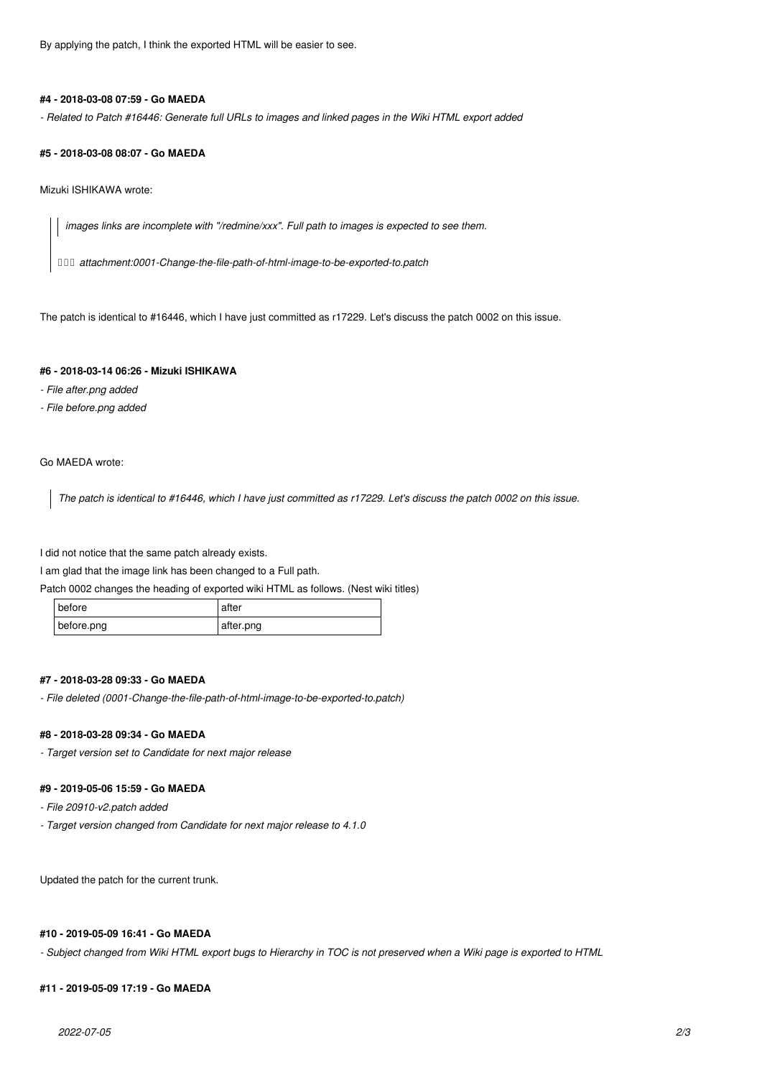By applying the patch, I think the exported HTML will be easier to see.

#### **#4 - 2018-03-08 07:59 - Go MAEDA**

*- Related to Patch #16446: Generate full URLs to images and linked pages in the Wiki HTML export added*

#### **#5 - 2018-03-08 08:07 - Go MAEDA**

Mizuki ISHIKAWA wrote:

*images links are incomplete with "/redmine/xxx". Full path to images is expected to see them.*

 *→ attachment:0001-Change-the-file-path-of-html-image-to-be-exported-to.patch*

The patch is identical to #16446, which I have just committed as r17229. Let's discuss the patch 0002 on this issue.

## **#6 - 2018-03-14 06:26 - Mizuki ISHIKAWA**

- *File after.png added*
- *File before.png added*

# Go MAEDA wrote:

*The patch is identical to #16446, which I have just committed as r17229. Let's discuss the patch 0002 on this issue.*

I did not notice that the same patch already exists.

I am glad that the image link has been changed to a Full path.

Patch 0002 changes the heading of exported wiki HTML as follows. (Nest wiki titles)

| before     | atter     |
|------------|-----------|
| before.png | after.png |

## **#7 - 2018-03-28 09:33 - Go MAEDA**

*- File deleted (0001-Change-the-file-path-of-html-image-to-be-exported-to.patch)*

# **#8 - 2018-03-28 09:34 - Go MAEDA**

*- Target version set to Candidate for next major release*

#### **#9 - 2019-05-06 15:59 - Go MAEDA**

- *File 20910-v2.patch added*
- *Target version changed from Candidate for next major release to 4.1.0*

Updated the patch for the current trunk.

### **#10 - 2019-05-09 16:41 - Go MAEDA**

*- Subject changed from Wiki HTML export bugs to Hierarchy in TOC is not preserved when a Wiki page is exported to HTML*

## **#11 - 2019-05-09 17:19 - Go MAEDA**